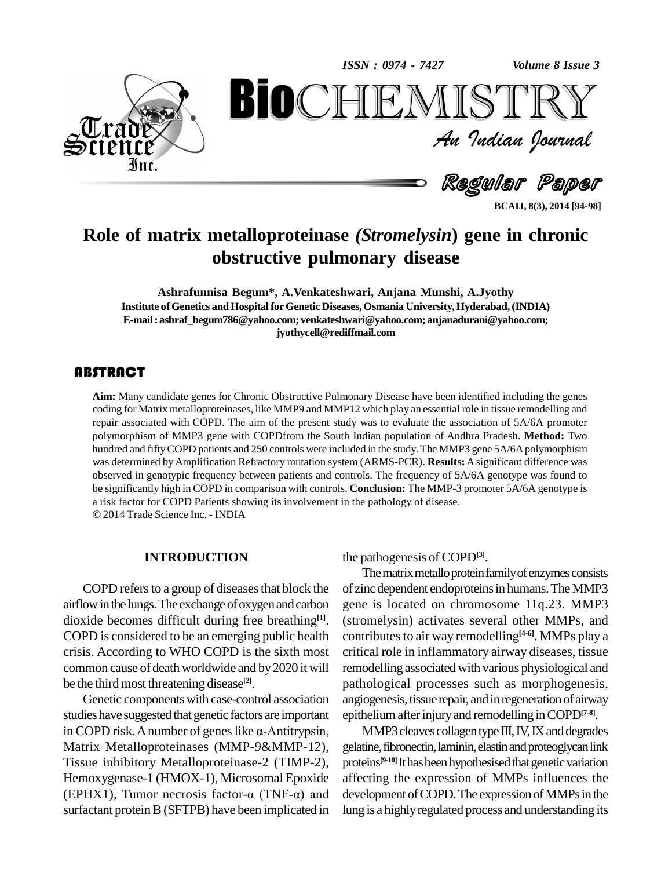

An Indian Journal<br>Regullar Paper

**BCAIJ, 8(3), 2014 [94-98]**

# **Role of matrix metalloproteinase** *(Stromelysin***) gene in chronic obstructive pulmonary disease BioCHEMISTRY**<br>Au Indian Journal<br>Regular Paper<br>etalloproteinase (Stromelysin) gene in chronic<br>structive pulmonary disease

**Ashrafunnisa Begum\*, A.Venkateshwari, Anjana Munshi, A.Jyothy Institute ofGenetics andHospitalforGenetic Diseases, Osmania University,Hyderabad,(INDIA) E-mail:[ashraf\\_begum786@yahoo.com;](mailto:ashraf_begum786@yahoo.com;) [venkateshwari@yahoo.com;](mailto:venkateshwari@yahoo.com;) [anjanadurani@yahoo.com;](mailto:anjanadurani@yahoo.com;) [jyothycell@rediffmail.com](mailto:jyothycell@rediffmail.com)**

Aim: Many candidate geoding for Matrix metallor<br>repair associated with CO **Aim:** Many candidate genes for Chronic Obstructive Pulmonary Disease have been identified including the genes coding for Matrix metalloproteinases, like MMP9 and MMP12 which play an essential role in tissue remodelling and repair associated with COPD. The aim of the present study was to evaluate the association of5A/6A promoter polymorphism of MMP3 gene with COPDfrom the South Indian population of Andhra Pradesh. **Method:** Two hundred and fifty COPD patients and 250 controls were included in the study. The MMP3 gene 5A/6A polymorphism was determined byAmplification Refractory mutation system (ARMS-PCR). **Results:** Asignificant difference was observed in genotypic frequency between patients and controls. The frequency of 5A/6A genotype was found to be significantly high in COPD in comparison with controls. **Conclusion:** The MMP-3 promoter 5A/6A genotype is <sup>a</sup> risk factor for COPD Patients showing its involvement in the pathology of disease. 2014Trade Science Inc. - INDIA

#### **INTRODUCTION**

COPD refers to a group of diseases that block the airflow in the lungs. The exchange of oxygen and carbon dioxide becomes difficult during free breathing **[1]**. COPD is considered to be an emerging public health crisis. According to WHO COPD is the sixth most common cause of death worldwide and by2020 it will be the third most threatening disease<sup>[2]</sup>.

Genetic componentswith case-control association studies have suggested that genetic factors are important epi Genetic components with case-control association and studies have suggested that genetic factors are important ep in COPD risk. A number of genes like  $\alpha$ -Antitrypsin, Matrix Metalloproteinases (MMP-9&MMP-12), Tissue inhibitory Metalloproteinase-2 (TIMP-2), proteins<br>Hemoxygenase-1 (HMOX-1), Microsomal Epoxide affectii<br>(EPHX1), Tumor necrosis factor- $\alpha$  (TNF- $\alpha$ ) and develop Hemoxygenase-1 (HMOX-1), Microsomal Epoxide surfactant protein B (SFTPB) have been implicated in

the pathogenesis of COPD**[3]**.

The matrix metallo protein family of enzymes consists of zinc dependent endoproteins in humans. The MMP3 gene is located on chromosome 11q.23. MMP3 (stromelysin) activates several other MMPs, and contributes to air way remodelling<sup>[4-6]</sup>. MMPs play a critical role in inflammatory airway diseases, tissue remodelling associated with various physiological and pathological processes such as morphogenesis, angiogenesis, tissue repair, and in regeneration of airway epitheliumafterinjuryand remodelling inCOPD**[7-8]**.

MMP3 cleaves collagen type III, IV, IX and degrades gelatine, fibronectin, laminin, elastin and proteoglycan link proteins<sup>[9-10]</sup> It has been hypothesised that genetic variation affecting the expression of MMPs influences the development of COPD. The expression of MMPs in the lung is a highlyregulated process and understanding its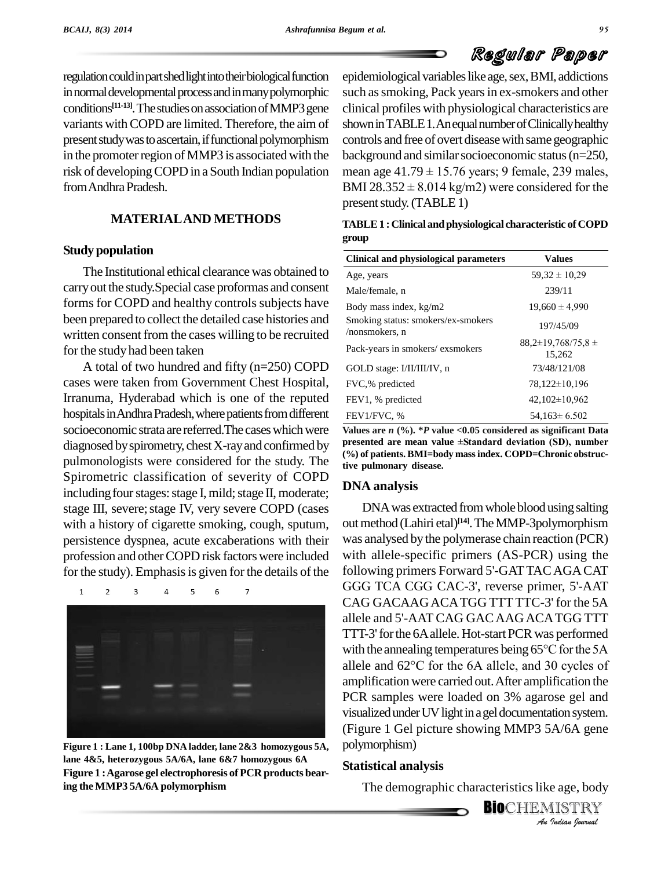# Regular Paper

regulation could in part shed light into their biological function in normal developmental process and in many polymorphic conditions<sup>[11-13]</sup>. The studies on association of MMP3 gene clinical variants with COPD are limited. Therefore, the aim of present study was to ascertain, if functional polymorphism in the promoter region of MMP3 is associated with the from Andhra Pradesh.

### **MATERIALAND METHODS**

#### **Study population**

The Institutional ethical clearance was obtained to carry out the study. Special case proformas and consent forms for COPD and healthy controls subjects have been prepared to collect the detailed case histories and written consent from the cases willing to be recruited for the study had been taken

A total of two hundred and fifty (n=250) COPD cases were taken from Government Chest Hospital, Irranuma, Hyderabad which is one of the reputed hospitals in Andhra Pradesh, where patients from different socioeconomic strata are referred. The cases which were diagnosed by spirometry, chest X-ray and confirmed by presented are mean value  $\pm$ Standard deviation (SD), number pulmonologists were considered for the study. The Spirometric classification of severity of COPD including four stages: stage I, mild; stage II, moderate; stage III, severe; stage IV, very severe COPD (cases with a history of cigarette smoking, cough, sputum, persistence dyspnea, acute excaberations with their profession and other COPD risk factors were included for the study). Emphasis is given for the details of the



**Figure 1 : Lane 1, 100bp DNA ladder, lane 2&3 homozygous 5A, lane 4&5, heterozygous 5A/6A, lane 6&7 homozygous 6A Figure** 1 : Agarose gel electrophoresis of PCR products bear**ing theMMP3 5A/6A polymorphism**

risk of developing COPD in a South Indian population mean age  $41.79 \pm 15.76$  years; 9 female, 239 males, epidemiological variables like age, sex, BMI, addictions such as smoking, Pack years in ex-smokers and other clinical profiles with physiological characteristics are shown in TABLE 1. An equal number of Clinically healthy controls and free of overt diseasewith same geographic background and similar socioeconomic status (n=250, controls and free of overt disease with same geographic<br>background and similar socioeconomic status (n=250,<br>mean age  $41.79 \pm 15.76$  years; 9 female, 239 males, background and similar socioeconomic status (n=250,<br>mean age  $41.79 \pm 15.76$  years; 9 female, 239 males,<br>BMI 28.352  $\pm$  8.014 kg/m2) were considered for the present study. (TABLE 1)

| TABLE 1 : Clinical and physiological characteristic of COPD |  |
|-------------------------------------------------------------|--|
| group                                                       |  |

| Clinical and physiological parameters                | <b>Values</b>                      |
|------------------------------------------------------|------------------------------------|
| Age, years                                           | $59,32 \pm 10,29$                  |
| Male/female, n                                       | 239/11                             |
| Body mass index, kg/m2                               | $19,660 \pm 4.990$                 |
| Smoking status: smokers/ex-smokers<br>/nonsmokers, n | 197/45/09                          |
| Pack-years in smokers/exsmokers                      | $88,2\pm 19,768/75,8\pm$<br>15.262 |
| GOLD stage: I/II/III/IV, n                           | 73/48/121/08                       |
| FVC,% predicted                                      | 78,122±10,196                      |
| FEV1, % predicted                                    | $42,102\pm10,962$                  |
| FEV1/FVC, %                                          | $54.163 \pm 6.502$                 |

**Values are** *n* **(%). \****P* **value** *<***0.05 considered as significant Data FEV1/FVC, %**<br> **Values are** *n* (%), \**P* value <0.05 considered as significant Data<br>
presented are mean value ±Standard deviation (SD), number **(%) of patients. BMI=body massindex. COPD=Chronic obstructive pulmonary disease.**

#### **DNA analysis**

*An*(Figure 1 Gel picture showing MMP3 5A/6A gene *A/*6A gene<br>e age, body<br>IISTRY<br>Indian Iournal DNA was extracted from whole blood using salting out method (Lahiri etal)<sup>[14]</sup>. The MMP-3polymorphism was analysed by the polymerase chain reaction (PCR) with allele-specific primers (AS-PCR) using the following primers Forward 5'-GATTACAGACAT GGG TCA CGG CAC-3', reverse primer, 5'-AAT CAG GACAAGACATGG TTT TTC-3' for the 5A allele and 5'-AAT CAG GACAAGACATGG TTT TTT-3' for the 6A allele. Hot-start PCR was performed allele and 5'-AAT CAG GAC AAG ACA TGG TTT<br>TTT-3' for the 6A allele. Hot-start PCR was performed<br>with the annealing temperatures being 65°C for the 5A TTT-3' for the 6A allele. Hot-start PCR was performed<br>with the annealing temperatures being  $65^{\circ}$ C for the 5A<br>allele and  $62^{\circ}$ C for the 6A allele, and 30 cycles of amplification were carried out.After amplification the PCR samples were loaded on 3% agarose gel and visualized under UV light in a gel documentation system. polymorphism)

#### **Statistical analysis**

The demographic characteristics like age, body

**BIO**CHEMISTRY<br>An Indian Journal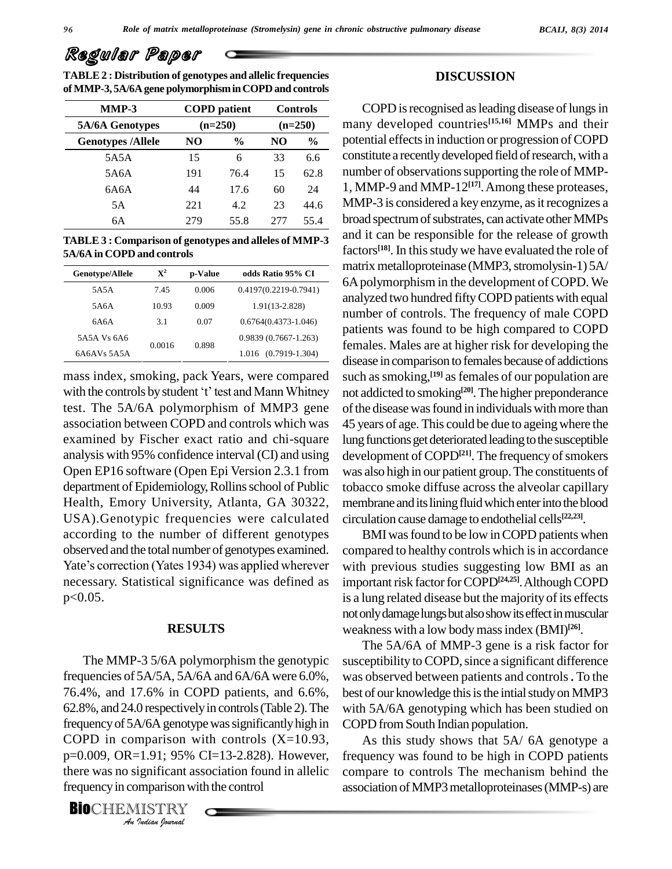| Regular Paper |  |  |
|---------------|--|--|
|---------------|--|--|

**TABLE2 : Distribution of genotypes and allelic frequencies ofMMP-3, 5A/6A gene polymorphisminCOPD and controls**

| $MMP-3$ |                          |           | <b>COPD</b> patient |           | <b>Controls</b> |
|---------|--------------------------|-----------|---------------------|-----------|-----------------|
|         | 5A/6A Genotypes          | $(n=250)$ |                     | $(n=250)$ |                 |
|         | <b>Genotypes /Allele</b> | NO        | $\frac{0}{0}$       | NO.       | $\frac{6}{9}$   |
|         | 5A5A                     | 15        | 6                   | 33        | 6.6             |
|         | 5A6A                     | 191       | 76.4                | 15        | 62.8            |
|         | 6A6A                     | 44        | 17.6                | 60        | 24              |
|         | 5Α                       | 221       | 4.2                 | 23        | 44.6            |
|         | 6A                       | 279       | 55.8                | 2.77      | 55.4            |

**TABLE 3 : Comparison of genotypes and alleles of MMP-3 5A/6A in COPD and controls**

| Genotype/Allele | $\mathbf{X}^2$ | p-Value | odds Ratio 95% CI         |
|-----------------|----------------|---------|---------------------------|
| 5A5A            | 7.45           | 0.006   | $0.4197(0.2219 - 0.7941)$ |
| 5A6A            | 10.93          | 0.009   | 1.91(13-2.828)            |
| 6A6A            | 3.1            | 0.07    | $0.6764(0.4373 - 1.046)$  |
| 5A5A Vs 6A6     |                |         | 0.9839 (0.7667-1.263)     |
| 6A6AVs 5A5A     | 0.0016         | 0.898   | 1.016 (0.7919-1.304)      |

mass index, smoking, pack Years, were compared with the controls by student 't' test and Mann Whitney test. The 5A/6A polymorphism of MMP3 gene association between COPD and controls which was examined by Fischer exact ratio and chi-square analysis with 95% confidence interval (CI) and using Open EP16 software (Open Epi Version 2.3.1 from department of Epidemiology, Rollins school of Public Health, Emory University, Atlanta, GA 30322, USA).Genotypic frequencies were calculated according to the number of different genotypes observed and the total number of genotypes examined. according to the number of different genotypes<br>observed and the total number of genotypes examined. con<br>Yate's correction (Yates 1934) was applied wherever with necessary. Statistical significance was defined as p<0.05.

#### **RESULTS**

*Arrequency of 5A/6A genotype was significantly high in* COPD *I*<br>I.91; 95%<br>*Ignificant as*<br>*INSTRY*<br>*Indian hournal* The MMP-3 5/6A polymorphism the genotypic frequencies of  $5A/5A$ ,  $5A/6A$  and  $6A/6A$  were  $6.0\%$ , 76.4%, and 17.6% in COPD patients, and 6.6%, 62.8%, and 24.0 respectivelyin controls(Table 2).The COPD in comparison with controls  $(X=10.93,$ p=0.009, OR=1.91; 95% CI=13-2.828). However, there was no significant association found in allelic frequency in comparison with the control

**BIO**CHEMISTRY

#### **DISCUSSION**

COPD is recognised as leading disease of lungs in many developed countries **[15,16]** MMPs and their potential effectsin induction or progression ofCOPD **Genotypes /Allele NO % NO %** constitute a recently developed field of research, with a number of observations supporting the role of MMP-1, MMP-9 and MMP-12 **[17]**.Among these proteases, MMP-3 is considered a key enzyme, as it recognizes a broad spectrum of substrates, can activate other MMPs and it can be responsible for the release of growth factors **[18]**. In thisstudy we have evaluated the role of matrix metalloproteinase (MMP3, stromolysin-1) 5A/ 6Apolymorphism in the development of COPD. We analyzed two hundred fiftyCOPD patients with equal number of controls. The frequency of male COPD patients was found to be high compared to COPD females. Males are at higher risk for developing the disease in comparison to females because of addictions such assmoking, **[19]** asfemales of our population are not addicted to smoking **[20]**.The higher preponderance of the disease was found in individuals with more than 45 years of age. This could be due to ageingwhere the lung functions get deteriorated leading to the susceptible development of COPD<sup>[21]</sup>. The frequency of smokers was also high in our patient group.The constituents of tobacco smoke diffuse across the alveolar capillary membrane and its lining fluid which enter into the blood circulation cause damage to endothelial cells **[22,23]**.

> BMI was found to be low in COPD patients when compared to healthy controls which is in accordance with previous studies suggesting low BMI as an important risk factor for COPD<sup>[24,25]</sup>. Although COPD is a lung related disease but the majority of its effects not only damage lungs but also show its effect in muscular weakness with a low bodymassindex (BMI) **[26]**.

> The 5A/6A of MMP-3 gene is a risk factor for susceptibility to COPD, since a significant difference was observed between patients and controls.To the best of our knowledge this is the intial study on MMP3 with 5A/6A genotyping which has been studied on COPD fromSouth Indian population.

> As this study shows that 5A/ 6A genotype a frequency was found to be high in COPD patients compare to controls The mechanism behind the association ofMMP3metalloproteinases(MMP-s) are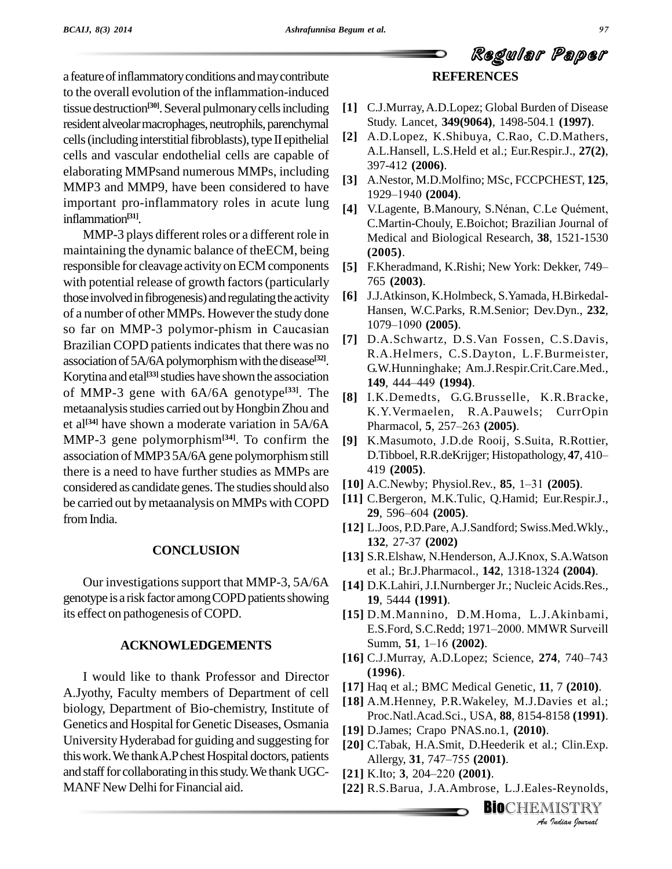a feature of inflammatory conditions and may contribute to the overall evolution of the inflammation-induced tissue destruction<sup>[30]</sup>. Several pulmonary cells including [1] C. resident alveolar macrophages, neutrophils, parenchymal cells (including interstitial fibroblasts), type II epithelial cells and vascular endothelial cells are capable of elaborating MMPsand numerous MMPs, including MMP3 and MMP9, have been considered to have  $1929-1940$  (2004). important pro-inflammatory roles in acute lung [4] V.Lagente, B.Manoury, S.Nénan, C.Le Quément, inflammation **[31]**.

MMP-3 plays different roles or a different role in maintaining the dynamic balance of theECM, being responsible for cleavage activity on ECM components with potential release of growth factors (particularly those involved in fibrogenesis) and regulating the activity of a number of other MMPs. However the study done<br>so far on MMP-3 polymor-phism in Caucasian 1079–1090 (2005). so far on MMP-3 polymor-phism in Caucasian Brazilian COPD patients indicates that there was no association of 5A/6A polymorphism with the disease<sup>[32]</sup>. Korytina and etal<sup>[33]</sup> studies have shown the association  $\frac{3}{14}$ of MMP-3 gene with  $6A/6A$  genotype<sup>[33]</sup>. The  $\overline{81}$ metaanalysis studies carried out by Hongbin Zhou and et al **[34]** have shown a moderate variation in 5A/6A MMP-3 gene polymorphism**[34]**. To confirm the association ofMMP3 5A/6A gene polymorphismstill there is a need to have further studies as MMPs are considered as candidate genes. The studies should also be carried out by metaanalysis on MMPs with COPD  $\begin{bmatrix} 11 \end{bmatrix}$  C. Bergeron, M.K. 1u<br>from India 29, 596–604 (2005). from India.

#### **CONCLUSION**

Our investigations support that MMP-3, 5A/6A genotype is a risk factor among COPD patients showing its effect on pathogenesis of COPD.

#### **ACKNOWLEDGEMENTS**

I would like to thank Professor and Director A.Jyothy, Faculty members of Department of cell biology, Department of Bio-chemistry, Institute of Genetics and Hospital for Genetic Diseases, Osmania UniversityHyderabad for guiding and suggesting for this work. We thank A.P chest Hospital doctors, patients Allergy, 31, 747–755 (2001). and staff for collaborating in this study. We thank UGC $-$  [21] K.Ito; 3, 204-220 (2001). MANF New Delhi for Financial aid.

# **REFERENCES**

Regular Paper

- **[1]** C.J.Murray,A.D.Lopez; Global Burden of Disease Study. Lancet, **349(9064)**, 1498-504.1 **(1997)**.
- **[2]** A.D.Lopez, K.Shibuya, C.Rao, C.D.Mathers, A.L.Hansell, L.S.Held et al.; Eur.Respir.J., **27(2)**, 397-412 **(2006)**.
- **[3]** A.Nestor, M.D.Molfino; MSc, FCCPCHEST, **125**, 397-412 (**2006**).<br>A.Nestor, M.D.Molfino;<br>1929–1940 (**2004**). [3] A.Nestor, M.D.Molfino; MSc, FCCPCHEST, 125,<br>1929–1940 (**2004**).<br>[4] V.Lagente, B.Manoury, S.Nénan, C.Le Quément,
- C.Martin-Chouly, E.Boichot; Brazilian Journal of Medical and Biological Research, **38**, 1521-1530 **(2005)**.
- **[5]** F.Kheradmand, K.Rishi; New York: Dekker, 749– 765 **(2003)**.
- **[6]** J.J.Atkinson, K.Holmbeck, S.Yamada, H.Birkedal-<br>Hansen, W.C.Parks, R.M.Senior; Dev.Dyn., 232,<br>1079–1090 **(2005)**. Hansen, W.C.Parks, R.M.Senior; Dev.Dyn., **232**,
- **[7]** D.A.Schwartz, D.S.Van Fossen, C.S.Davis, R.A.Helmers, C.S.Dayton, L.F.Burmeister,<br>G.W.Hunninghake; Am.J.Respir.Crit.Care.Med.,<br>**149**, 444–449 (**1994**). G.W.Hunninghake; Am.J.Respir.Crit.Care.Med.,
- **[8]** I.K.Demedts, G.G.Brusselle, K.R.Bracke, K.Y.Vermaelen, R.A.Pauwels; CurrOpin Pharmacol, **5**, 257–263 **(2005)**. K.Y.Vermaelen, R.A.Pauwels; CurrOpin
- **[9]** K.Masumoto, J.D.de Rooij, S.Suita, R.Rottier, Pharmacol, **5**, 257–263 (**2005**).<br>K.Masumoto, J.D.de Rooij, S.Suita, R.Rottier,<br>D.Tibboel, R.R.deKrijger; Histopathology, **47**, 410– 419 **(2005)**. **D.Tibboel, R.R.deKrijger; Histopathology, 47, 410-419 (2005).**<br>**[10]** A.C.Newby; Physiol.Rev., **85**, 1–31 (2005).
- 
- **[11]** C.Bergeron, M.K.Tulic, Q.Hamid; Eur.Respir.J., A.C.Newby; Physiol.Rev<br>C.Bergeron, M.K.Tulic,<br>**29**, 596–604 (**2005**).
- **[12]** L.Joos, P.D.Pare,A.J.Sandford; Swiss.Med.Wkly., **132**, 27-37 **(2002)**
- **[13]** S.R.Elshaw, N.Henderson, A.J.Knox, S.A.Watson et al.; Br.J.Pharmacol., **142**, 1318-1324 **(2004)**.
- [14] D.K.Lahiri, J.I.Nurnberger Jr.; Nucleic Acids.Res., **19**, 5444 **(1991)**.
- **[15]** D.M.Mannino, D.M.Homa, L.J.Akinbami, **19**, 5444 (**1991**).<br>D.M.Mannino, D.M.Homa, L.J.Akinbami,<br>E.S.Ford, S.C.Redd; 1971–2000. MMWR Surveill D.M.Mannino, D.M.Hom<br>E.S.Ford, S.C.Redd; 1971–20<br>Summ, **51**, 1–16 (**2002**). **E.S.Ford, S.C.Redd; 1971–2000. MMWR Surveill Summ, 51, 1–16 (2002).**<br>[16] C.J.Murray, A.D.Lopez; Science, 274, 740–743
- **(1996)**.
- **[17]** Haq et al.; BMC Medical Genetic, **11**, 7 **(2010)**.
- **[18]** A.M.Henney, P.R.Wakeley, M.J.Davies et al.; Proc.Natl.Acad.Sci., USA, **88**, 8154-8158 **(1991)**.
- 
- **[19]** D.James; Crapo PNAS.no.1, **(2010)**.<br>**[20]** C.Tabak, H.A.Smit, D.Heederik et al.; Cl<br>Allergy, **31**, 747–755 **(2001)**. *I.*; Clin.Exp.<br>3-Reynolds,<br>IISTRY **[20]** C.Tabak, H.A.Smit, D.Heederik et al.; Clin.Exp.<br>Allergy, **31**, 747–755 **(2001)**.<br>**[21]** K.Ito; **3**, 204–220 **(2001)**.
- 
- **[22]** R.S.Barua, J.A.Ambrose, L.J.Eales-Reynolds,

**BIO**CHEMISTRY<br>An Indian Journal